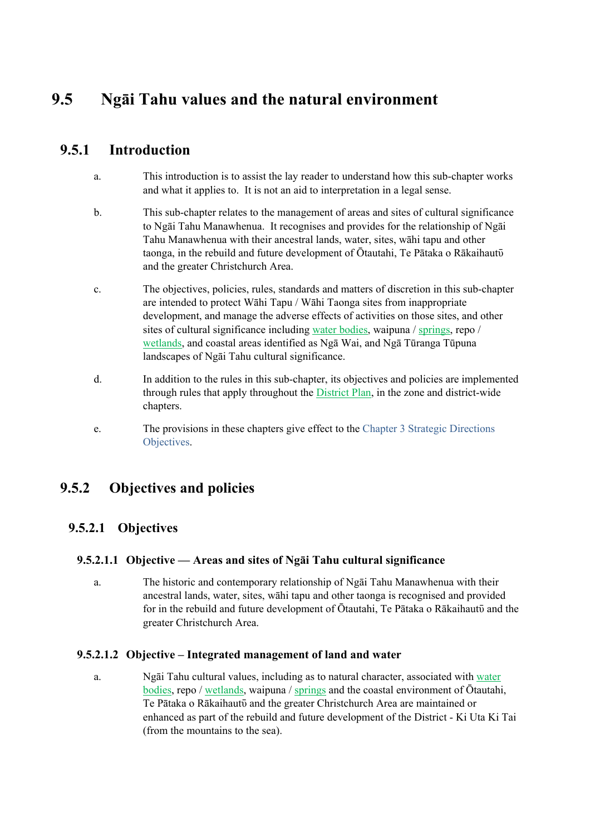# **9.5 Ngāi Tahu values and the natural environment**

## **9.5.1 Introduction**

- a. This introduction is to assist the lay reader to understand how this sub-chapter works and what it applies to. It is not an aid to interpretation in a legal sense.
- b. This sub-chapter relates to the management of areas and sites of cultural significance to Ngāi Tahu Manawhenua. It recognises and provides for the relationship of Ngāi Tahu Manawhenua with their ancestral lands, water, sites, wāhi tapu and other taonga, in the rebuild and future development of Ōtautahi, Te Pātaka o Rākaihautō and the greater Christchurch Area.
- c. The objectives, policies, rules, standards and matters of discretion in this sub-chapter are intended to protect Wāhi Tapu / Wāhi Taonga sites from inappropriate development, and manage the adverse effects of activities on those sites, and other sites of cultural significance including water bodies, waipuna / springs, repo / wetlands, and coastal areas identified as Ngā Wai, and Ngā Tūranga Tūpuna landscapes of Ngāi Tahu cultural significance.
- d. In addition to the rules in this sub-chapter, its objectives and policies are implemented through rules that apply throughout the District Plan, in the zone and district-wide chapters.
- e. The provisions in these chapters give effect to the Chapter 3 Strategic Directions Objectives.

## **9.5.2 Objectives and policies**

## **9.5.2.1 Objectives**

### **9.5.2.1.1 Objective — Areas and sites of Ngāi Tahu cultural significance**

a. The historic and contemporary relationship of Ngāi Tahu Manawhenua with their ancestral lands, water, sites, wāhi tapu and other taonga is recognised and provided for in the rebuild and future development of Ōtautahi, Te Pātaka o Rākaihautō and the greater Christchurch Area.

### **9.5.2.1.2 Objective – Integrated management of land and water**

a. Ngāi Tahu cultural values, including as to natural character, associated with water bodies, repo / wetlands, waipuna / springs and the coastal environment of Ōtautahi, Te Pātaka o Rākaihautō and the greater Christchurch Area are maintained or enhanced as part of the rebuild and future development of the District - Ki Uta Ki Tai (from the mountains to the sea).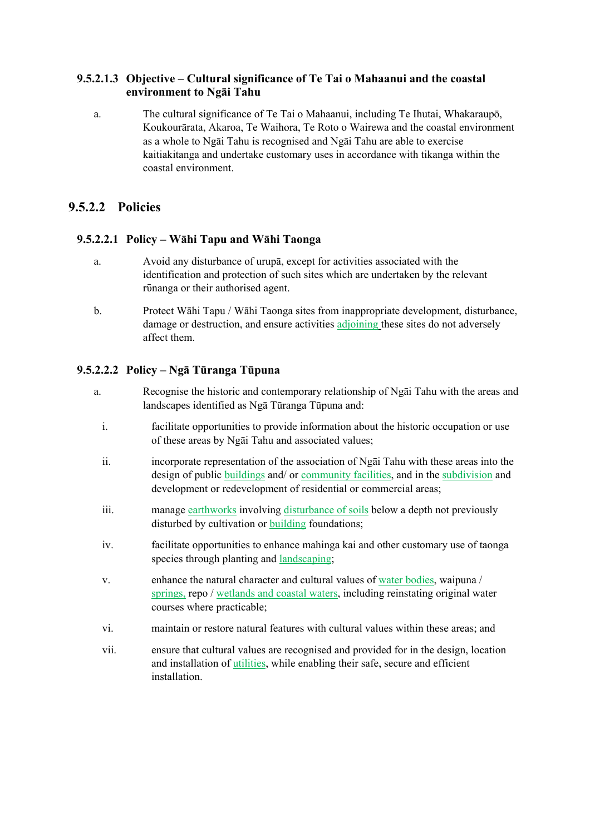### **9.5.2.1.3 Objective – Cultural significance of Te Tai o Mahaanui and the coastal environment to Ngāi Tahu**

a. The cultural significance of Te Tai o Mahaanui, including Te Ihutai, Whakaraupō, Koukourārata, Akaroa, Te Waihora, Te Roto o Wairewa and the coastal environment as a whole to Ngāi Tahu is recognised and Ngāi Tahu are able to exercise kaitiakitanga and undertake customary uses in accordance with tikanga within the coastal environment.

## **9.5.2.2 Policies**

### **9.5.2.2.1 Policy – Wāhi Tapu and Wāhi Taonga**

- a. Avoid any disturbance of urupā, except for activities associated with the identification and protection of such sites which are undertaken by the relevant rūnanga or their authorised agent.
- b. Protect Wāhi Tapu / Wāhi Taonga sites from inappropriate development, disturbance, damage or destruction, and ensure activities adjoining these sites do not adversely affect them.

## **9.5.2.2.2 Policy – Ngā Tūranga Tūpuna**

- a. Recognise the historic and contemporary relationship of Ngāi Tahu with the areas and landscapes identified as Ngā Tūranga Tūpuna and:
	- i. facilitate opportunities to provide information about the historic occupation or use of these areas by Ngāi Tahu and associated values;
	- ii. incorporate representation of the association of Ngāi Tahu with these areas into the design of public buildings and/ or community facilities, and in the subdivision and development or redevelopment of residential or commercial areas;
	- iii. manage earthworks involving disturbance of soils below a depth not previously disturbed by cultivation or building foundations;
	- iv. facilitate opportunities to enhance mahinga kai and other customary use of taonga species through planting and landscaping;
	- v. enhance the natural character and cultural values of water bodies, waipuna / springs, repo / wetlands and coastal waters, including reinstating original water courses where practicable;
	- vi. maintain or restore natural features with cultural values within these areas; and
	- vii. ensure that cultural values are recognised and provided for in the design, location and installation of utilities, while enabling their safe, secure and efficient installation.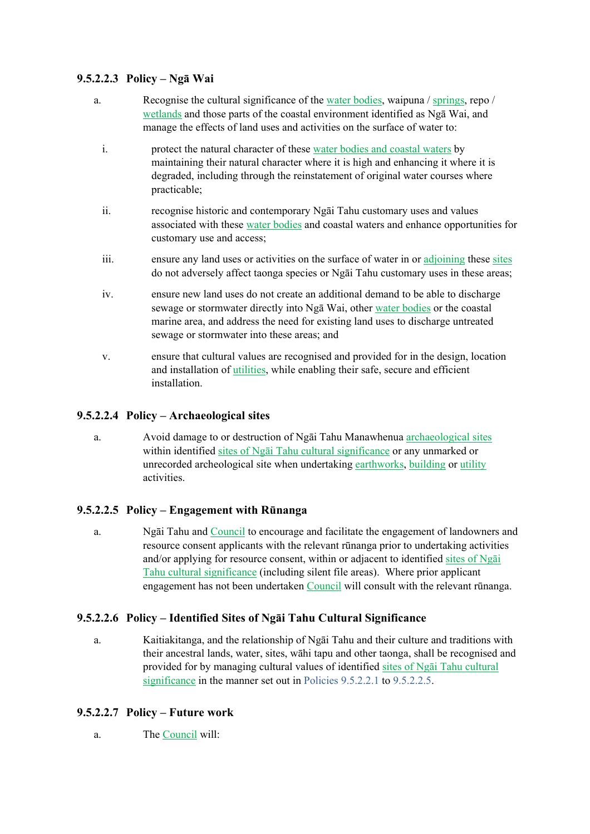### **9.5.2.2.3 Policy – Ngā Wai**

- a. Recognise the cultural significance of the water bodies, waipuna / springs, repo / wetlands and those parts of the coastal environment identified as Ngā Wai, and manage the effects of land uses and activities on the surface of water to:
	- i. protect the natural character of these water bodies and coastal waters by maintaining their natural character where it is high and enhancing it where it is degraded, including through the reinstatement of original water courses where practicable;
	- ii. recognise historic and contemporary Ngāi Tahu customary uses and values associated with these water bodies and coastal waters and enhance opportunities for customary use and access;
	- iii. ensure any land uses or activities on the surface of water in or adjoining these sites do not adversely affect taonga species or Ngāi Tahu customary uses in these areas;
	- iv. ensure new land uses do not create an additional demand to be able to discharge sewage or stormwater directly into Ngā Wai, other water bodies or the coastal marine area, and address the need for existing land uses to discharge untreated sewage or stormwater into these areas; and
	- v. ensure that cultural values are recognised and provided for in the design, location and installation of utilities, while enabling their safe, secure and efficient installation.

### **9.5.2.2.4 Policy – Archaeological sites**

a. Avoid damage to or destruction of Ngāi Tahu Manawhenua archaeological sites within identified sites of Ngāi Tahu cultural significance or any unmarked or unrecorded archeological site when undertaking earthworks, building or utility activities.

#### **9.5.2.2.5 Policy – Engagement with Rūnanga**

a. Ngāi Tahu and Council to encourage and facilitate the engagement of landowners and resource consent applicants with the relevant rūnanga prior to undertaking activities and/or applying for resource consent, within or adjacent to identified sites of Ngai Tahu cultural significance (including silent file areas). Where prior applicant engagement has not been undertaken Council will consult with the relevant rūnanga.

### **9.5.2.2.6 Policy – Identified Sites of Ngāi Tahu Cultural Significance**

a. Kaitiakitanga, and the relationship of Ngāi Tahu and their culture and traditions with their ancestral lands, water, sites, wāhi tapu and other taonga, shall be recognised and provided for by managing cultural values of identified sites of Ngāi Tahu cultural significance in the manner set out in Policies 9.5.2.2.1 to 9.5.2.2.5.

#### **9.5.2.2.7 Policy – Future work**

a. The Council will: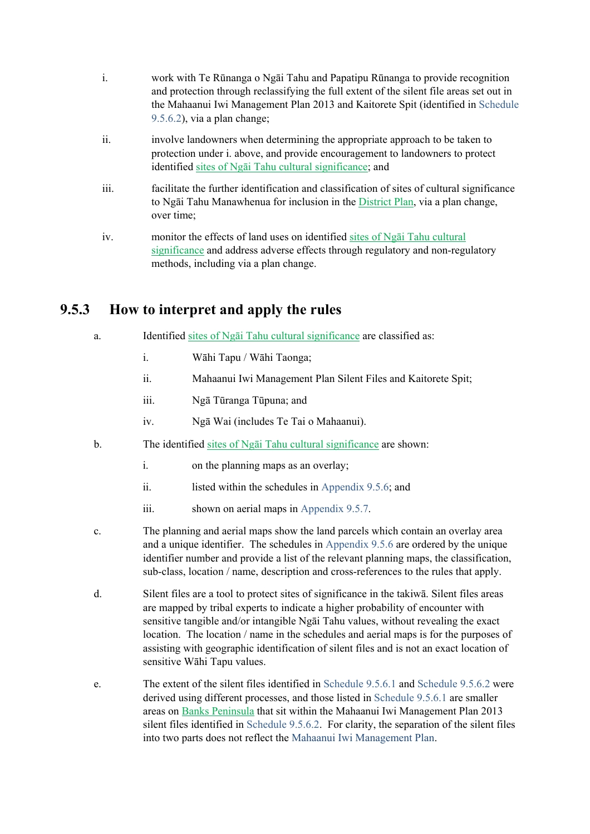- i. work with Te Rūnanga o Ngāi Tahu and Papatipu Rūnanga to provide recognition and protection through reclassifying the full extent of the silent file areas set out in the Mahaanui Iwi Management Plan 2013 and Kaitorete Spit (identified in Schedule 9.5.6.2), via a plan change;
- ii. involve landowners when determining the appropriate approach to be taken to protection under i. above, and provide encouragement to landowners to protect identified sites of Ngāi Tahu cultural significance; and
- iii. facilitate the further identification and classification of sites of cultural significance to Ngāi Tahu Manawhenua for inclusion in the District Plan, via a plan change, over time;
- iv. monitor the effects of land uses on identified sites of Ngāi Tahu cultural significance and address adverse effects through regulatory and non-regulatory methods, including via a plan change.

## **9.5.3 How to interpret and apply the rules**

- a. Identified sites of Ngāi Tahu cultural significance are classified as:
	- i. Wāhi Tapu / Wāhi Taonga;
	- ii. Mahaanui Iwi Management Plan Silent Files and Kaitorete Spit;
	- iii. Ngā Tūranga Tūpuna; and
	- iv. Ngā Wai (includes Te Tai o Mahaanui).
- b. The identified sites of Ngāi Tahu cultural significance are shown:
	- i. on the planning maps as an overlay;
	- ii. listed within the schedules in Appendix 9.5.6; and
	- iii. shown on aerial maps in Appendix 9.5.7.
- c. The planning and aerial maps show the land parcels which contain an overlay area and a unique identifier. The schedules in Appendix 9.5.6 are ordered by the unique identifier number and provide a list of the relevant planning maps, the classification, sub-class, location / name, description and cross-references to the rules that apply.
- d. Silent files are a tool to protect sites of significance in the takiwā. Silent files areas are mapped by tribal experts to indicate a higher probability of encounter with sensitive tangible and/or intangible Ngāi Tahu values, without revealing the exact location. The location / name in the schedules and aerial maps is for the purposes of assisting with geographic identification of silent files and is not an exact location of sensitive Wāhi Tapu values.
- e. The extent of the silent files identified in Schedule 9.5.6.1 and Schedule 9.5.6.2 were derived using different processes, and those listed in Schedule 9.5.6.1 are smaller areas on Banks Peninsula that sit within the Mahaanui Iwi Management Plan 2013 silent files identified in Schedule 9.5.6.2. For clarity, the separation of the silent files into two parts does not reflect the Mahaanui Iwi Management Plan.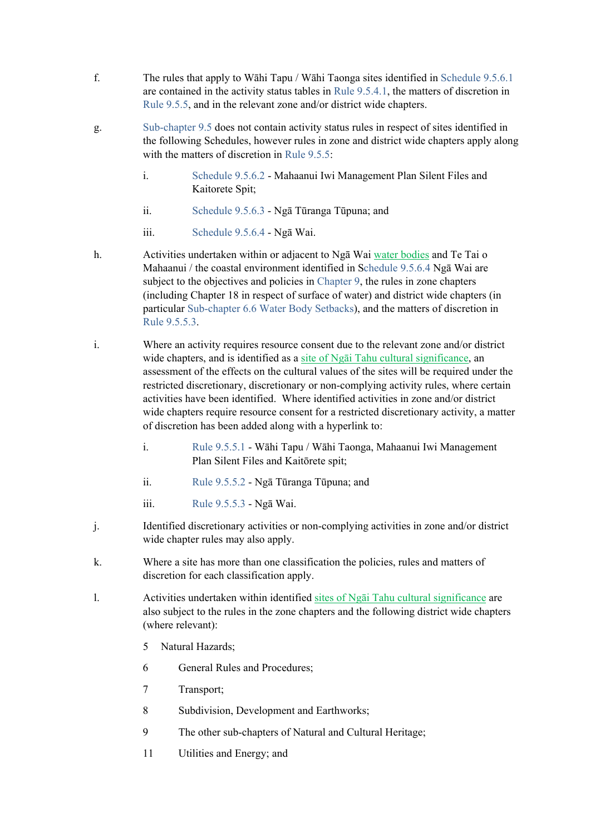- f. The rules that apply to Wāhi Tapu / Wāhi Taonga sites identified in Schedule 9.5.6.1 are contained in the activity status tables in Rule 9.5.4.1, the matters of discretion in Rule 9.5.5, and in the relevant zone and/or district wide chapters.
- g. Sub-chapter 9.5 does not contain activity status rules in respect of sites identified in the following Schedules, however rules in zone and district wide chapters apply along with the matters of discretion in Rule 9.5.5:
	- i. Schedule 9.5.6.2 Mahaanui Iwi Management Plan Silent Files and Kaitorete Spit;
	- ii. Schedule 9.5.6.3 Ngā Tūranga Tūpuna; and
	- iii. Schedule 9.5.6.4 Ngā Wai.
- h. Activities undertaken within or adjacent to Ngā Wai water bodies and Te Tai o Mahaanui / the coastal environment identified in Schedule 9.5.6.4 Ngā Wai are subject to the objectives and policies in Chapter 9, the rules in zone chapters (including Chapter 18 in respect of surface of water) and district wide chapters (in particular Sub-chapter 6.6 Water Body Setbacks), and the matters of discretion in Rule 9.5.5.3.
- i. Where an activity requires resource consent due to the relevant zone and/or district wide chapters, and is identified as a site of Ngāi Tahu cultural significance, an assessment of the effects on the cultural values of the sites will be required under the restricted discretionary, discretionary or non-complying activity rules, where certain activities have been identified. Where identified activities in zone and/or district wide chapters require resource consent for a restricted discretionary activity, a matter of discretion has been added along with a hyperlink to:
	- i. Rule 9.5.5.1 Wāhi Tapu / Wāhi Taonga, Mahaanui Iwi Management Plan Silent Files and Kaitōrete spit;
	- ii. Rule 9.5.5.2 Ngā Tūranga Tūpuna; and
	- iii. Rule 9.5.5.3 Ngā Wai.
- j. Identified discretionary activities or non-complying activities in zone and/or district wide chapter rules may also apply.
- k. Where a site has more than one classification the policies, rules and matters of discretion for each classification apply.
- l. Activities undertaken within identified sites of Ngāi Tahu cultural significance are also subject to the rules in the zone chapters and the following district wide chapters (where relevant):
	- 5 Natural Hazards;
	- 6 General Rules and Procedures;
	- 7 Transport;
	- 8 Subdivision, Development and Earthworks;
	- 9 The other sub-chapters of Natural and Cultural Heritage;
	- 11 Utilities and Energy; and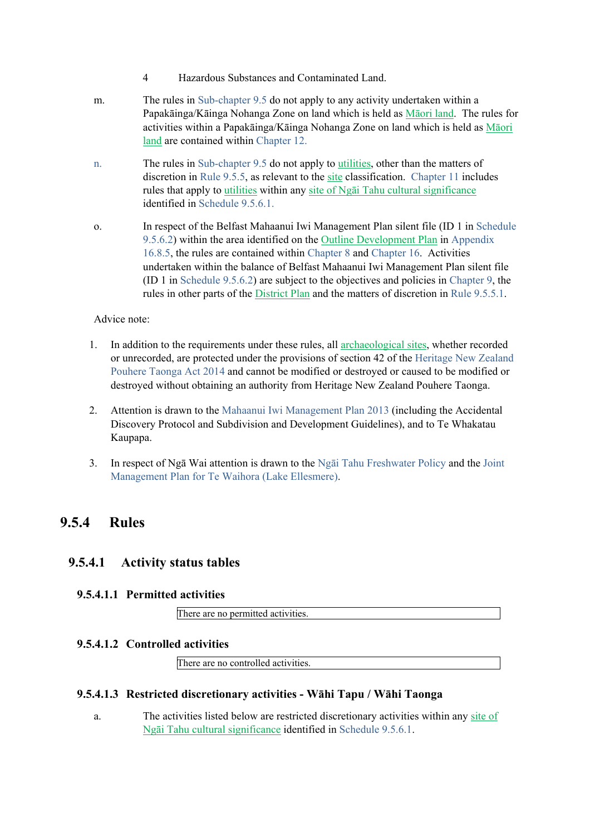- 4 Hazardous Substances and Contaminated Land.
- m. The rules in Sub-chapter 9.5 do not apply to any activity undertaken within a Papakāinga/Kāinga Nohanga Zone on land which is held as Māori land. The rules for activities within a Papakāinga/Kāinga Nohanga Zone on land which is held as Māori land are contained within Chapter 12.
- n. The rules in Sub-chapter 9.5 do not apply to utilities, other than the matters of discretion in Rule 9.5.5, as relevant to the site classification. Chapter 11 includes rules that apply to utilities within any site of Ngāi Tahu cultural significance identified in Schedule 9.5.6.1.
- o. In respect of the Belfast Mahaanui Iwi Management Plan silent file (ID 1 in Schedule 9.5.6.2) within the area identified on the Outline Development Plan in Appendix 16.8.5, the rules are contained within Chapter 8 and Chapter 16. Activities undertaken within the balance of Belfast Mahaanui Iwi Management Plan silent file (ID 1 in Schedule 9.5.6.2) are subject to the objectives and policies in Chapter 9, the rules in other parts of the District Plan and the matters of discretion in Rule 9.5.5.1.

#### Advice note:

- 1. In addition to the requirements under these rules, all archaeological sites, whether recorded or unrecorded, are protected under the provisions of section 42 of the Heritage New Zealand Pouhere Taonga Act 2014 and cannot be modified or destroyed or caused to be modified or destroyed without obtaining an authority from Heritage New Zealand Pouhere Taonga.
- 2. Attention is drawn to the Mahaanui Iwi Management Plan 2013 (including the Accidental Discovery Protocol and Subdivision and Development Guidelines), and to Te Whakatau Kaupapa.
- 3. In respect of Ngā Wai attention is drawn to the Ngāi Tahu Freshwater Policy and the Joint Management Plan for Te Waihora (Lake Ellesmere).

## **9.5.4 Rules**

### **9.5.4.1 Activity status tables**

### **9.5.4.1.1 Permitted activities**

There are no permitted activities.

#### **9.5.4.1.2 Controlled activities**

There are no controlled activities.

#### **9.5.4.1.3 Restricted discretionary activities - Wāhi Tapu / Wāhi Taonga**

a. The activities listed below are restricted discretionary activities within any site of Ngāi Tahu cultural significance identified in Schedule 9.5.6.1.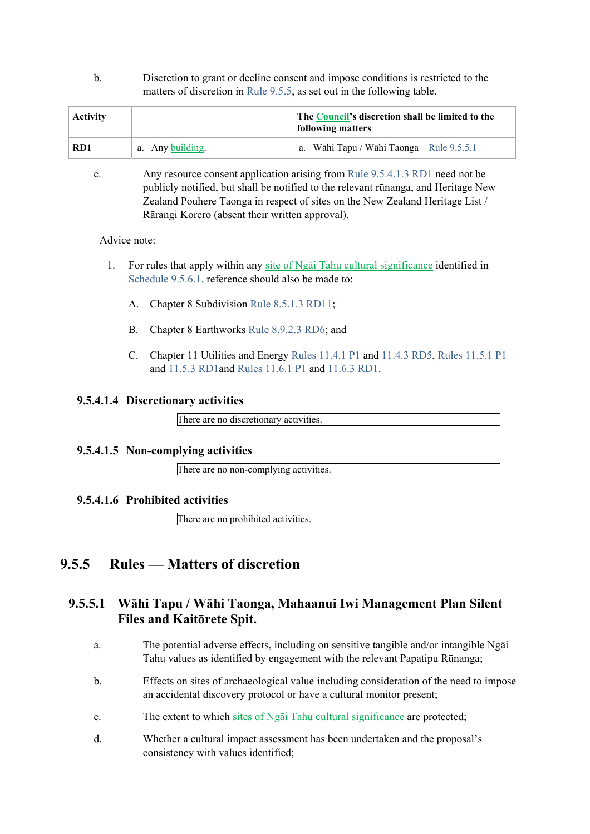b. Discretion to grant or decline consent and impose conditions is restricted to the matters of discretion in Rule 9.5.5, as set out in the following table.

| <b>Activity</b> |                  | The Council's discretion shall be limited to the<br>following matters |
|-----------------|------------------|-----------------------------------------------------------------------|
| RD1             | a. Any building. | a. Wāhi Tapu / Wāhi Taonga – Rule 9.5.5.1                             |

c. Any resource consent application arising from Rule 9.5.4.1.3 RD1 need not be publicly notified, but shall be notified to the relevant rūnanga, and Heritage New Zealand Pouhere Taonga in respect of sites on the New Zealand Heritage List / Rārangi Korero (absent their written approval).

Advice note:

- 1. For rules that apply within any site of Ngāi Tahu cultural significance identified in Schedule 9.5.6.1, reference should also be made to:
	- A. Chapter 8 Subdivision Rule 8.5.1.3 RD11;
	- B. Chapter 8 Earthworks Rule 8.9.2.3 RD6; and
	- C. Chapter 11 Utilities and Energy Rules 11.4.1 P1 and 11.4.3 RD5, Rules 11.5.1 P1 and 11.5.3 RD1 and Rules 11.6.1 P1 and 11.6.3 RD1.

#### **9.5.4.1.4 Discretionary activities**

There are no discretionary activities.

#### **9.5.4.1.5 Non-complying activities**

There are no non-complying activities.

#### **9.5.4.1.6 Prohibited activities**

There are no prohibited activities.

## **9.5.5 Rules — Matters of discretion**

## **9.5.5.1 Wāhi Tapu / Wāhi Taonga, Mahaanui Iwi Management Plan Silent Files and Kaitōrete Spit.**

- a. The potential adverse effects, including on sensitive tangible and/or intangible Ngāi Tahu values as identified by engagement with the relevant Papatipu Rūnanga;
- b. Effects on sites of archaeological value including consideration of the need to impose an accidental discovery protocol or have a cultural monitor present;
- c. The extent to which sites of Ngāi Tahu cultural significance are protected;
- d. Whether a cultural impact assessment has been undertaken and the proposal's consistency with values identified;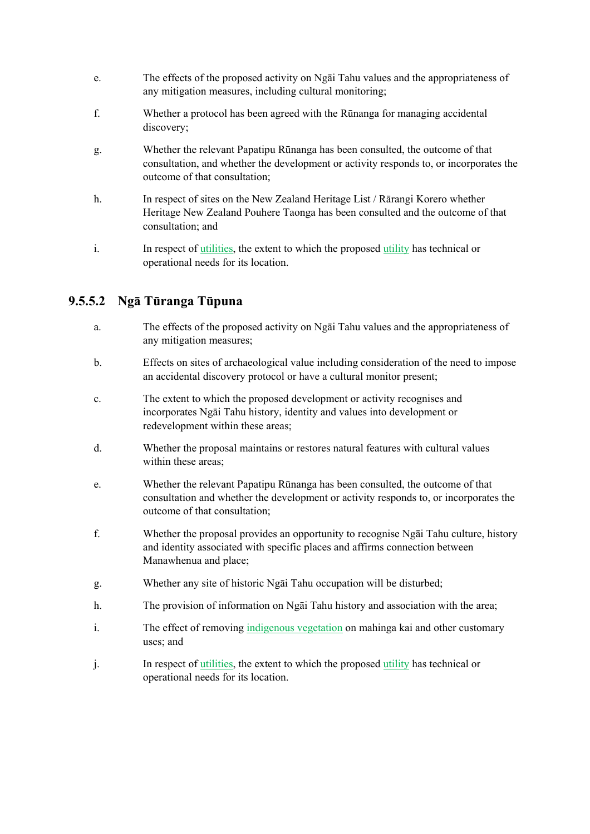- e. The effects of the proposed activity on Ngāi Tahu values and the appropriateness of any mitigation measures, including cultural monitoring;
- f. Whether a protocol has been agreed with the Rūnanga for managing accidental discovery;
- g. Whether the relevant Papatipu Rūnanga has been consulted, the outcome of that consultation, and whether the development or activity responds to, or incorporates the outcome of that consultation;
- h. In respect of sites on the New Zealand Heritage List / Rārangi Korero whether Heritage New Zealand Pouhere Taonga has been consulted and the outcome of that consultation; and
- i. In respect of utilities, the extent to which the proposed utility has technical or operational needs for its location.

## **9.5.5.2 Ngā Tūranga Tūpuna**

- a. The effects of the proposed activity on Ngāi Tahu values and the appropriateness of any mitigation measures;
- b. Effects on sites of archaeological value including consideration of the need to impose an accidental discovery protocol or have a cultural monitor present;
- c. The extent to which the proposed development or activity recognises and incorporates Ngāi Tahu history, identity and values into development or redevelopment within these areas;
- d. Whether the proposal maintains or restores natural features with cultural values within these areas;
- e. Whether the relevant Papatipu Rūnanga has been consulted, the outcome of that consultation and whether the development or activity responds to, or incorporates the outcome of that consultation;
- f. Whether the proposal provides an opportunity to recognise Ngāi Tahu culture, history and identity associated with specific places and affirms connection between Manawhenua and place;
- g. Whether any site of historic Ngāi Tahu occupation will be disturbed;
- h. The provision of information on Ngāi Tahu history and association with the area;
- i. The effect of removing indigenous vegetation on mahinga kai and other customary uses; and
- j. In respect of utilities, the extent to which the proposed utility has technical or operational needs for its location.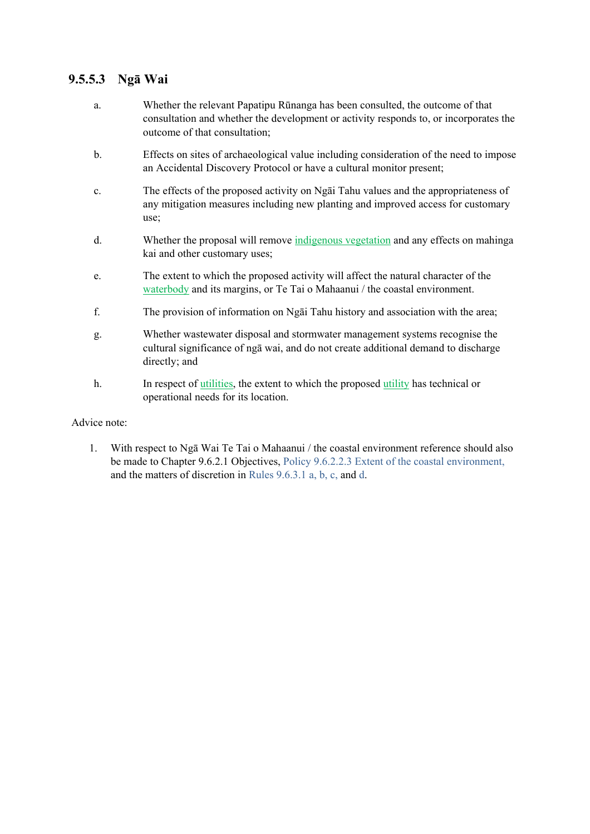## **9.5.5.3 Ngā Wai**

- a. Whether the relevant Papatipu Rūnanga has been consulted, the outcome of that consultation and whether the development or activity responds to, or incorporates the outcome of that consultation;
- b. Effects on sites of archaeological value including consideration of the need to impose an Accidental Discovery Protocol or have a cultural monitor present;
- c. The effects of the proposed activity on Ngāi Tahu values and the appropriateness of any mitigation measures including new planting and improved access for customary use;
- d. Whether the proposal will remove indigenous vegetation and any effects on mahinga kai and other customary uses;
- e. The extent to which the proposed activity will affect the natural character of the waterbody and its margins, or Te Tai o Mahaanui / the coastal environment.
- f. The provision of information on Ngāi Tahu history and association with the area;
- g. Whether wastewater disposal and stormwater management systems recognise the cultural significance of ngā wai, and do not create additional demand to discharge directly; and
- h. In respect of utilities, the extent to which the proposed utility has technical or operational needs for its location.

#### Advice note:

1. With respect to Ngā Wai Te Tai o Mahaanui / the coastal environment reference should also be made to Chapter 9.6.2.1 Objectives, Policy 9.6.2.2.3 Extent of the coastal environment, and the matters of discretion in Rules 9.6.3.1 a, b, c, and d.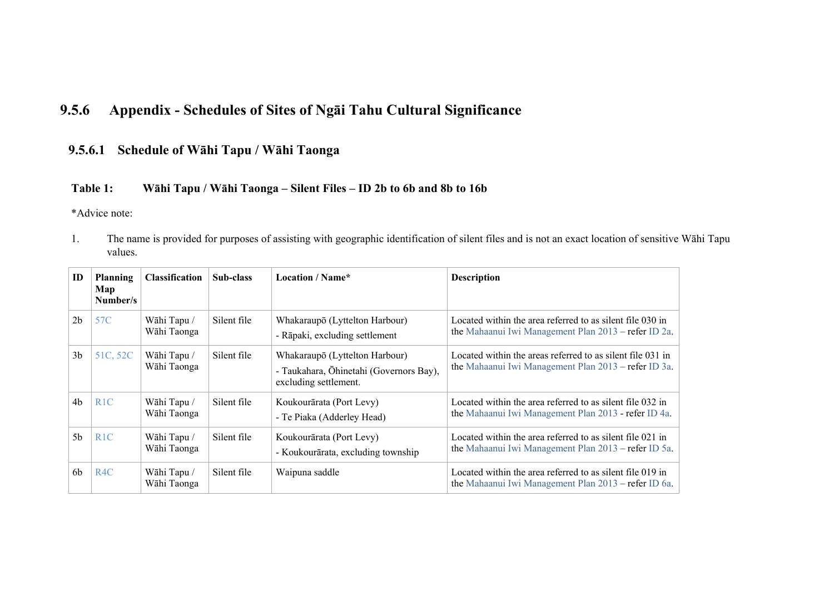#### **9.5.6Appendix - Schedules of Sites of Ngāi Tahu Cultural Significance**

## **9.5.6.1 Schedule of Wāhi Tapu / Wāhi Taonga**

### **Table 1: Wāhi Tapu / Wāhi Taonga – Silent Files – ID 2b to 6b and 8b to 16b**

\*Advice note:

1. The name is provided for purposes of assisting with geographic identification of silent files and is not an exact location of sensitive Wāhi Tapu values.

| ID             | <b>Planning</b><br>Map<br>Number/s | <b>Classification</b>      | Sub-class   | <b>Location / Name*</b>                                                                            | <b>Description</b>                                                                                                 |
|----------------|------------------------------------|----------------------------|-------------|----------------------------------------------------------------------------------------------------|--------------------------------------------------------------------------------------------------------------------|
| 2 <sub>b</sub> | 57C                                | Wāhi Tapu /<br>Wāhi Taonga | Silent file | Whakaraupō (Lyttelton Harbour)<br>- Rāpaki, excluding settlement                                   | Located within the area referred to as silent file 030 in<br>the Mahaanui Iwi Management Plan 2013 – refer ID 2a.  |
| 3 <sub>b</sub> | 51C, 52C                           | Wāhi Tapu /<br>Wāhi Taonga | Silent file | Whakaraupō (Lyttelton Harbour)<br>- Taukahara, Ōhinetahi (Governors Bay),<br>excluding settlement. | Located within the areas referred to as silent file 031 in<br>the Mahaanui Iwi Management Plan 2013 – refer ID 3a. |
| 4 <sub>b</sub> | R <sub>1</sub> C                   | Wāhi Tapu /<br>Wāhi Taonga | Silent file | Koukourārata (Port Levy)<br>- Te Piaka (Adderley Head)                                             | Located within the area referred to as silent file 032 in<br>the Mahaanui Iwi Management Plan 2013 - refer ID 4a.  |
| 5 <sub>b</sub> | R <sub>1</sub> C                   | Wāhi Tapu /<br>Wāhi Taonga | Silent file | Koukourārata (Port Levy)<br>- Koukourārata, excluding township                                     | Located within the area referred to as silent file 021 in<br>the Mahaanui Iwi Management Plan 2013 – refer ID 5a.  |
| 6 <sub>b</sub> | R <sub>4</sub> C                   | Wāhi Tapu /<br>Wāhi Taonga | Silent file | Waipuna saddle                                                                                     | Located within the area referred to as silent file 019 in<br>the Mahaanui Iwi Management Plan 2013 - refer ID 6a.  |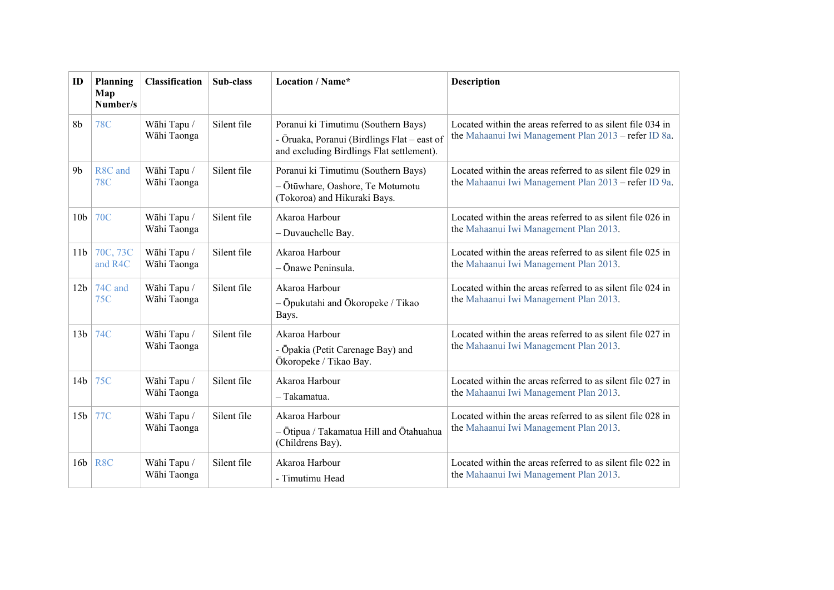| ID              | Planning<br>Map<br>Number/s | <b>Classification</b>      | Sub-class   | Location / Name*                                                                                                                | <b>Description</b>                                                                                                 |  |
|-----------------|-----------------------------|----------------------------|-------------|---------------------------------------------------------------------------------------------------------------------------------|--------------------------------------------------------------------------------------------------------------------|--|
| 8 <sub>b</sub>  | <b>78C</b>                  | Wāhi Tapu /<br>Wāhi Taonga | Silent file | Poranui ki Timutimu (Southern Bays)<br>- Ōruaka, Poranui (Birdlings Flat – east of<br>and excluding Birdlings Flat settlement). | Located within the areas referred to as silent file 034 in<br>the Mahaanui Iwi Management Plan 2013 - refer ID 8a. |  |
| 9 <sub>b</sub>  | R8C and<br><b>78C</b>       | Wāhi Tapu /<br>Wāhi Taonga | Silent file | Poranui ki Timutimu (Southern Bays)<br>- Ōtūwhare, Oashore, Te Motumotu<br>(Tokoroa) and Hikuraki Bays.                         | Located within the areas referred to as silent file 029 in<br>the Mahaanui Iwi Management Plan 2013 – refer ID 9a. |  |
| 10 <sub>b</sub> | <b>70C</b>                  | Wāhi Tapu /<br>Wāhi Taonga | Silent file | Akaroa Harbour<br>- Duvauchelle Bay.                                                                                            | Located within the areas referred to as silent file 026 in<br>the Mahaanui Iwi Management Plan 2013.               |  |
| 11 <sub>b</sub> | 70C, 73C<br>and R4C         | Wāhi Tapu /<br>Wāhi Taonga | Silent file | Akaroa Harbour<br>- Ōnawe Peninsula.                                                                                            | Located within the areas referred to as silent file 025 in<br>the Mahaanui Iwi Management Plan 2013.               |  |
| 12 <sub>b</sub> | 74C and<br>75C              | Wāhi Tapu /<br>Wāhi Taonga | Silent file | Akaroa Harbour<br>$-\bar{O}$ pukutahi and $\bar{O}$ koropeke / Tikao<br>Bays.                                                   | Located within the areas referred to as silent file 024 in<br>the Mahaanui Iwi Management Plan 2013.               |  |
| 13 <sub>b</sub> | 74C                         | Wāhi Tapu /<br>Wāhi Taonga | Silent file | Akaroa Harbour<br>- Ōpakia (Petit Carenage Bay) and<br>Ōkoropeke / Tikao Bay.                                                   | Located within the areas referred to as silent file 027 in<br>the Mahaanui Iwi Management Plan 2013.               |  |
| 14 <sub>b</sub> | <b>75C</b>                  | Wāhi Tapu /<br>Wāhi Taonga | Silent file | Akaroa Harbour<br>- Takamatua.                                                                                                  | Located within the areas referred to as silent file 027 in<br>the Mahaanui Iwi Management Plan 2013.               |  |
| 15 <sub>b</sub> | 77C                         | Wāhi Tapu /<br>Wāhi Taonga | Silent file | Akaroa Harbour<br>- Ōtipua / Takamatua Hill and Ōtahuahua<br>(Childrens Bay).                                                   | Located within the areas referred to as silent file 028 in<br>the Mahaanui Iwi Management Plan 2013.               |  |
| 16b             | R <sub>8</sub> C            | Wāhi Tapu /<br>Wāhi Taonga | Silent file | Akaroa Harbour<br>- Timutimu Head                                                                                               | Located within the areas referred to as silent file 022 in<br>the Mahaanui Iwi Management Plan 2013.               |  |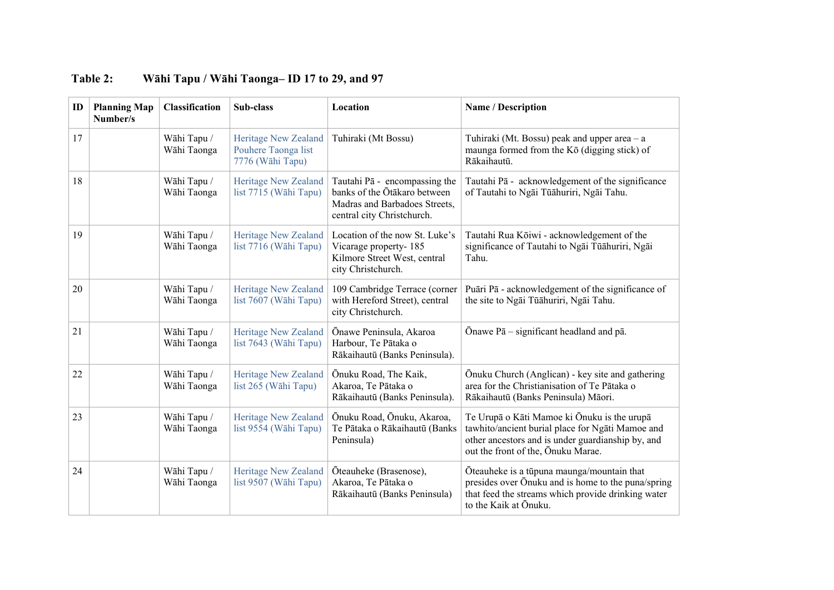| ID | <b>Planning Map</b><br>Number/s | Classification             | Sub-class                                                              | Location                                                                                                                     | Name / Description                                                                                                                                                                         |
|----|---------------------------------|----------------------------|------------------------------------------------------------------------|------------------------------------------------------------------------------------------------------------------------------|--------------------------------------------------------------------------------------------------------------------------------------------------------------------------------------------|
| 17 |                                 | Wāhi Tapu /<br>Wāhi Taonga | <b>Heritage New Zealand</b><br>Pouhere Taonga list<br>7776 (Wāhi Tapu) | Tuhiraki (Mt Bossu)                                                                                                          | Tuhiraki (Mt. Bossu) peak and upper area $-a$<br>maunga formed from the Kō (digging stick) of<br>Rākaihautū.                                                                               |
| 18 |                                 | Wāhi Tapu /<br>Wāhi Taonga | Heritage New Zealand<br>list 7715 (Wāhi Tapu)                          | Tautahi Pā - encompassing the<br>banks of the Ōtākaro between<br>Madras and Barbadoes Streets,<br>central city Christchurch. | Tautahi Pā - acknowledgement of the significance<br>of Tautahi to Ngāi Tūāhuriri, Ngāi Tahu.                                                                                               |
| 19 |                                 | Wāhi Tapu /<br>Wāhi Taonga | <b>Heritage New Zealand</b><br>list 7716 (Wāhi Tapu)                   | Location of the now St. Luke's<br>Vicarage property-185<br>Kilmore Street West, central<br>city Christchurch.                | Tautahi Rua Kōiwi - acknowledgement of the<br>significance of Tautahi to Ngāi Tūāhuriri, Ngāi<br>Tahu.                                                                                     |
| 20 |                                 | Wāhi Tapu /<br>Wāhi Taonga | <b>Heritage New Zealand</b><br>list 7607 (Wāhi Tapu)                   | 109 Cambridge Terrace (corner<br>with Hereford Street), central<br>city Christchurch.                                        | Puāri Pā - acknowledgement of the significance of<br>the site to Ngāi Tūāhuriri, Ngāi Tahu.                                                                                                |
| 21 |                                 | Wāhi Tapu /<br>Wāhi Taonga | <b>Heritage New Zealand</b><br>list 7643 (Wāhi Tapu)                   | Ōnawe Peninsula, Akaroa<br>Harbour, Te Pātaka o<br>Rākaihautū (Banks Peninsula).                                             | Onawe $P\bar{a}$ – significant headland and p $\bar{a}$ .                                                                                                                                  |
| 22 |                                 | Wāhi Tapu /<br>Wāhi Taonga | <b>Heritage New Zealand</b><br>list 265 (Wāhi Tapu)                    | Ōnuku Road, The Kaik,<br>Akaroa, Te Pātaka o<br>Rākaihautū (Banks Peninsula).                                                | Ōnuku Church (Anglican) - key site and gathering<br>area for the Christianisation of Te Pātaka o<br>Rākaihautū (Banks Peninsula) Māori.                                                    |
| 23 |                                 | Wāhi Tapu /<br>Wāhi Taonga | <b>Heritage New Zealand</b><br>list 9554 (Wāhi Tapu)                   | Ōnuku Road, Ōnuku, Akaroa,<br>Te Pātaka o Rākaihautū (Banks<br>Peninsula)                                                    | Te Urupā o Kāti Mamoe ki Ōnuku is the urupā<br>tawhito/ancient burial place for Ngati Mamoe and<br>other ancestors and is under guardianship by, and<br>out the front of the, Onuku Marae. |
| 24 |                                 | Wāhi Tapu /<br>Wāhi Taonga | <b>Heritage New Zealand</b><br>list 9507 (Wāhi Tapu)                   | Ōteauheke (Brasenose),<br>Akaroa, Te Pātaka o<br>Rākaihautū (Banks Peninsula)                                                | Ōteauheke is a tūpuna maunga/mountain that<br>presides over Onuku and is home to the puna/spring<br>that feed the streams which provide drinking water<br>to the Kaik at Ōnuku.            |

## **Table 2: Wāhi Tapu / Wāhi Taonga– ID 17 to 29, and 97**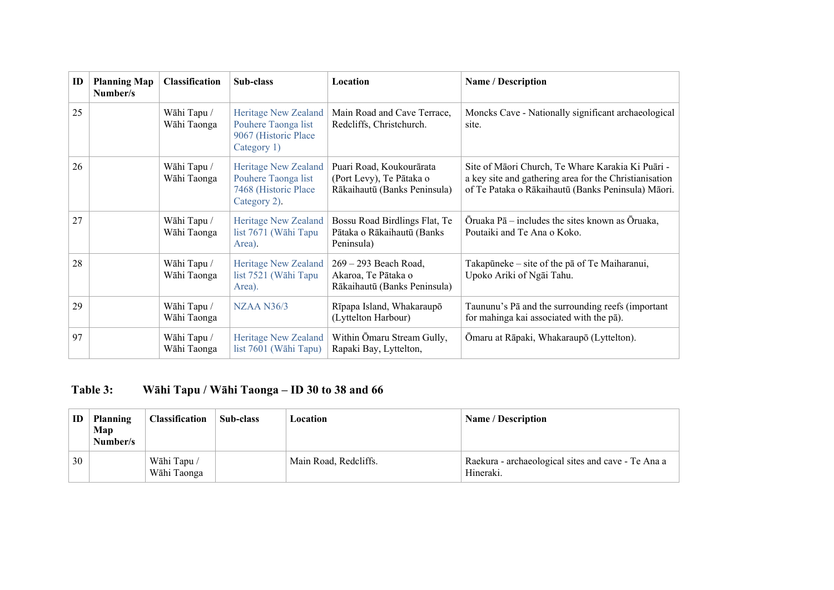| ID | <b>Planning Map</b><br>Number/s | <b>Classification</b>                                                                                                                                                                                      | Sub-class                                                                           | Location                                                                                                                                                          | <b>Name / Description</b>                                                                     |
|----|---------------------------------|------------------------------------------------------------------------------------------------------------------------------------------------------------------------------------------------------------|-------------------------------------------------------------------------------------|-------------------------------------------------------------------------------------------------------------------------------------------------------------------|-----------------------------------------------------------------------------------------------|
| 25 |                                 | Wāhi Tapu /<br>Wāhi Taonga                                                                                                                                                                                 | Heritage New Zealand<br>Pouhere Taonga list<br>9067 (Historic Place)<br>Category 1) | Main Road and Cave Terrace,<br>Redcliffs, Christchurch.                                                                                                           | Moncks Cave - Nationally significant archaeological<br>site.                                  |
| 26 |                                 | Wāhi Tapu /<br>Puari Road, Koukourārata<br>Heritage New Zealand<br>Pouhere Taonga list<br>(Port Levy), Te Pātaka o<br>Wāhi Taonga<br>Rākaihautū (Banks Peninsula)<br>7468 (Historic Place)<br>Category 2). |                                                                                     | Site of Māori Church, Te Whare Karakia Ki Puāri -<br>a key site and gathering area for the Christianisation<br>of Te Pataka o Rākaihautū (Banks Peninsula) Māori. |                                                                                               |
| 27 |                                 | Wāhi Tapu /<br>Wāhi Taonga                                                                                                                                                                                 | <b>Heritage New Zealand</b><br>list 7671 (Wāhi Tapu<br>Area).                       | Bossu Road Birdlings Flat, Te<br>Pātaka o Rākaihautū (Banks<br>Peninsula)                                                                                         | Oruaka $P\bar{a}$ – includes the sites known as Oruaka,<br>Poutaiki and Te Ana o Koko.        |
| 28 |                                 | Wāhi Tapu /<br>Wāhi Taonga                                                                                                                                                                                 | <b>Heritage New Zealand</b><br>list 7521 (Wāhi Tapu<br>Area).                       | 269 – 293 Beach Road,<br>Akaroa, Te Pātaka o<br>Rākaihautū (Banks Peninsula)                                                                                      | Takapūneke – site of the pā of Te Maiharanui,<br>Upoko Ariki of Ngāi Tahu.                    |
| 29 |                                 | Wāhi Tapu /<br>Wāhi Taonga                                                                                                                                                                                 | <b>NZAA N36/3</b>                                                                   | Rīpapa Island, Whakaraupō<br>(Lyttelton Harbour)                                                                                                                  | Taununu's Pā and the surrounding reefs (important<br>for mahinga kai associated with the pā). |
| 97 |                                 | Wāhi Tapu /<br>Wāhi Taonga                                                                                                                                                                                 | <b>Heritage New Zealand</b><br>list 7601 (Wāhi Tapu)                                | Within Omaru Stream Gully,<br>Rapaki Bay, Lyttelton,                                                                                                              | Ōmaru at Rāpaki, Whakaraupō (Lyttelton).                                                      |

# **Table 3: Wāhi Tapu / Wāhi Taonga – ID 30 to 38 and 66**

| ID | <b>Planning</b><br>Map<br>Number/s | <b>Classification</b>      | Sub-class | Location              | <b>Name / Description</b>                                       |
|----|------------------------------------|----------------------------|-----------|-----------------------|-----------------------------------------------------------------|
| 30 |                                    | Wāhi Tapu /<br>Wāhi Taonga |           | Main Road, Redcliffs. | Raekura - archaeological sites and cave - Te Ana a<br>Hineraki. |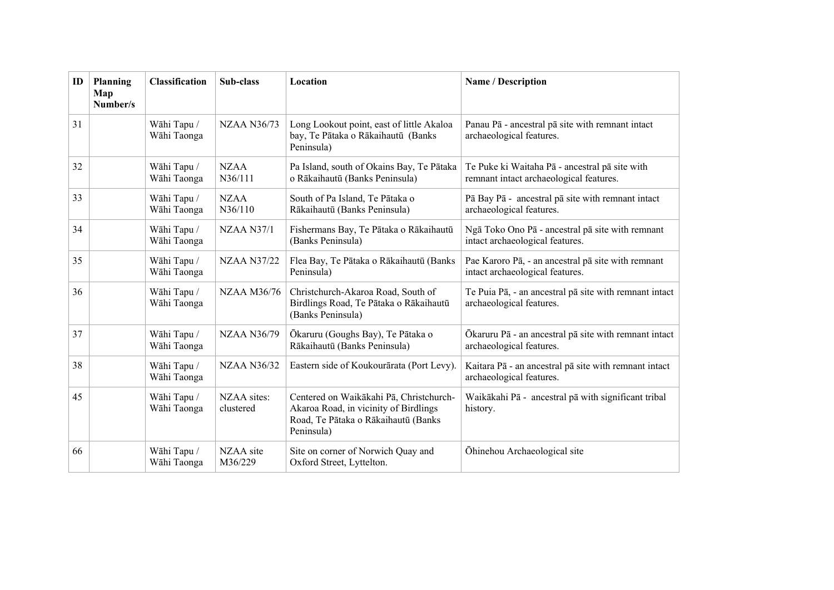| ID | Planning<br>Map<br>Number/s | <b>Classification</b>      | Sub-class                | Location                                                                                                                                                                      | Name / Description                                                                        |  |
|----|-----------------------------|----------------------------|--------------------------|-------------------------------------------------------------------------------------------------------------------------------------------------------------------------------|-------------------------------------------------------------------------------------------|--|
| 31 |                             | Wāhi Tapu /<br>Wāhi Taonga | <b>NZAA N36/73</b>       | Long Lookout point, east of little Akaloa<br>Panau Pā - ancestral pā site with remnant intact<br>bay, Te Pātaka o Rākaihautū (Banks<br>archaeological features.<br>Peninsula) |                                                                                           |  |
| 32 |                             | Wāhi Tapu /<br>Wāhi Taonga | <b>NZAA</b><br>N36/111   | Pa Island, south of Okains Bay, Te Pātaka<br>o Rākaihautū (Banks Peninsula)                                                                                                   | Te Puke ki Waitaha Pā - ancestral pā site with<br>remnant intact archaeological features. |  |
| 33 |                             | Wāhi Tapu /<br>Wāhi Taonga | <b>NZAA</b><br>N36/110   | South of Pa Island, Te Pātaka o<br>Rākaihautū (Banks Peninsula)                                                                                                               | Pā Bay Pā - ancestral pā site with remnant intact<br>archaeological features.             |  |
| 34 |                             | Wāhi Tapu /<br>Wāhi Taonga | <b>NZAA N37/1</b>        | Fishermans Bay, Te Pātaka o Rākaihautū<br>(Banks Peninsula)                                                                                                                   | Ngā Toko Ono Pā - ancestral pā site with remnant<br>intact archaeological features.       |  |
| 35 |                             | Wāhi Tapu /<br>Wāhi Taonga | <b>NZAA N37/22</b>       | Flea Bay, Te Pātaka o Rākaihautū (Banks<br>Peninsula)                                                                                                                         | Pae Karoro Pā, - an ancestral pā site with remnant<br>intact archaeological features.     |  |
| 36 |                             | Wāhi Tapu /<br>Wāhi Taonga | <b>NZAA M36/76</b>       | Christchurch-Akaroa Road, South of<br>Birdlings Road, Te Pātaka o Rākaihautū<br>(Banks Peninsula)                                                                             | Te Puia Pā, - an ancestral pā site with remnant intact<br>archaeological features.        |  |
| 37 |                             | Wāhi Tapu /<br>Wāhi Taonga | <b>NZAA N36/79</b>       | Ōkaruru (Goughs Bay), Te Pātaka o<br>Rākaihautū (Banks Peninsula)                                                                                                             | Ōkaruru Pā - an ancestral pā site with remnant intact<br>archaeological features.         |  |
| 38 |                             | Wāhi Tapu /<br>Wāhi Taonga | <b>NZAA N36/32</b>       | Eastern side of Koukourārata (Port Levy).                                                                                                                                     | Kaitara Pā - an ancestral pā site with remnant intact<br>archaeological features.         |  |
| 45 |                             | Wāhi Tapu /<br>Wāhi Taonga | NZAA sites:<br>clustered | Centered on Waikākahi Pā, Christchurch-<br>Akaroa Road, in vicinity of Birdlings<br>Road, Te Pātaka o Rākaihautū (Banks<br>Peninsula)                                         | Waikākahi Pā - ancestral pā with significant tribal<br>history.                           |  |
| 66 |                             | Wāhi Tapu /<br>Wāhi Taonga | NZAA site<br>M36/229     | Site on corner of Norwich Quay and<br>Öhinehou Archaeological site<br>Oxford Street, Lyttelton.                                                                               |                                                                                           |  |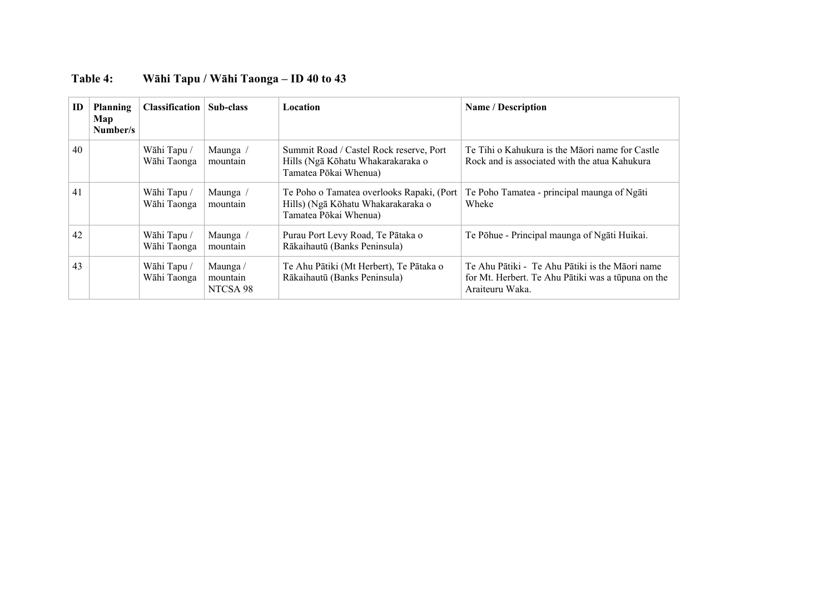| ID | <b>Planning</b><br>Map<br>Number/s | <b>Classification</b>      | Sub-class                        | <b>Location</b>                                                                                          | <b>Name / Description</b>                                                                                                |
|----|------------------------------------|----------------------------|----------------------------------|----------------------------------------------------------------------------------------------------------|--------------------------------------------------------------------------------------------------------------------------|
| 40 |                                    | Wāhi Tapu /<br>Wāhi Taonga | Maunga /<br>mountain             | Summit Road / Castel Rock reserve, Port<br>Hills (Ngā Kōhatu Whakarakaraka o<br>Tamatea Pōkai Whenua)    | Te Tihi o Kahukura is the Māori name for Castle<br>Rock and is associated with the atua Kahukura                         |
| 41 |                                    | Wāhi Tapu /<br>Wāhi Taonga | Maunga /<br>mountain             | Te Poho o Tamatea overlooks Rapaki, (Port<br>Hills) (Ngā Kōhatu Whakarakaraka o<br>Tamatea Pōkai Whenua) | Te Poho Tamatea - principal maunga of Ngāti<br>Wheke                                                                     |
| 42 |                                    | Wāhi Tapu /<br>Wāhi Taonga | Maunga /<br>mountain             | Purau Port Levy Road, Te Pātaka o<br>Rākaihautū (Banks Peninsula)                                        | Te Põhue - Principal maunga of Ngāti Huikai.                                                                             |
| 43 |                                    | Wāhi Tapu /<br>Wāhi Taonga | Maunga /<br>mountain<br>NTCSA 98 | Te Ahu Pātiki (Mt Herbert), Te Pātaka o<br>Rākaihautū (Banks Peninsula)                                  | Te Ahu Pātiki - Te Ahu Pātiki is the Māori name<br>for Mt. Herbert. Te Ahu Pātiki was a tūpuna on the<br>Araiteuru Waka. |

## **Table 4: Wāhi Tapu / Wāhi Taonga – ID 40 to 43**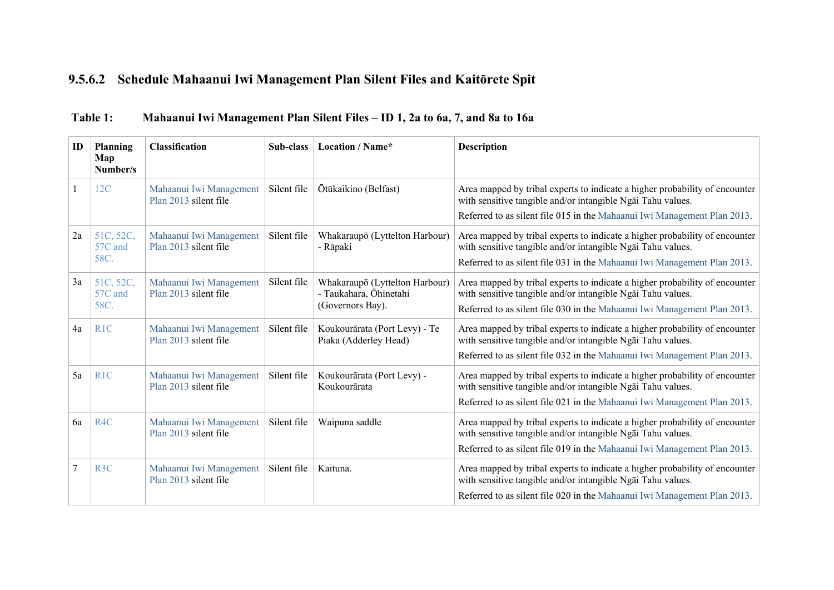## **9.5.6.2 Schedule Mahaanui Iwi Management Plan Silent Files and Kaitōrete Spit**

| ID | Planning<br>Map<br>Number/s  | <b>Classification</b>                            | Sub-class   | Location / Name*                                                                                                                                                                                                                                                                                       | <b>Description</b>                                                                                                                                                                                                     |
|----|------------------------------|--------------------------------------------------|-------------|--------------------------------------------------------------------------------------------------------------------------------------------------------------------------------------------------------------------------------------------------------------------------------------------------------|------------------------------------------------------------------------------------------------------------------------------------------------------------------------------------------------------------------------|
|    | 12C                          | Mahaanui Iwi Management<br>Plan 2013 silent file | Silent file | Ōtūkaikino (Belfast)<br>Area mapped by tribal experts to indicate a higher probability of encounter<br>with sensitive tangible and/or intangible Ngai Tahu values.<br>Referred to as silent file 015 in the Mahaanui Iwi Management Plan 2013.                                                         |                                                                                                                                                                                                                        |
| 2a | 51C, 52C,<br>57C and<br>58C. | Mahaanui Iwi Management<br>Plan 2013 silent file | Silent file | Area mapped by tribal experts to indicate a higher probability of encounter<br>Whakaraupō (Lyttelton Harbour)<br>with sensitive tangible and/or intangible Ngai Tahu values.<br>- Rāpaki<br>Referred to as silent file 031 in the Mahaanui Iwi Management Plan 2013.                                   |                                                                                                                                                                                                                        |
| 3a | 51C, 52C,<br>57C and<br>58C. | Mahaanui Iwi Management<br>Plan 2013 silent file | Silent file | Whakaraupō (Lyttelton Harbour)<br>Area mapped by tribal experts to indicate a higher probability of encounter<br>- Taukahara, Ōhinetahi<br>with sensitive tangible and/or intangible Ngai Tahu values.<br>(Governors Bay).<br>Referred to as silent file 030 in the Mahaanui Iwi Management Plan 2013. |                                                                                                                                                                                                                        |
| 4a | R <sub>1C</sub>              | Mahaanui Iwi Management<br>Plan 2013 silent file | Silent file | Koukourārata (Port Levy) - Te<br>Area mapped by tribal experts to indicate a higher probability of encounter<br>Piaka (Adderley Head)<br>with sensitive tangible and/or intangible Ngai Tahu values.<br>Referred to as silent file 032 in the Mahaanui Iwi Management Plan 2013.                       |                                                                                                                                                                                                                        |
| 5a | R <sub>1</sub> C             | Mahaanui Iwi Management<br>Plan 2013 silent file | Silent file | Koukourārata (Port Levy) -<br>Koukourārata                                                                                                                                                                                                                                                             | Area mapped by tribal experts to indicate a higher probability of encounter<br>with sensitive tangible and/or intangible Ngai Tahu values.<br>Referred to as silent file 021 in the Mahaanui Iwi Management Plan 2013. |
| 6a | R <sub>4C</sub>              | Mahaanui Iwi Management<br>Plan 2013 silent file | Silent file | Area mapped by tribal experts to indicate a higher probability of encounter<br>Waipuna saddle<br>with sensitive tangible and/or intangible Ngai Tahu values.<br>Referred to as silent file 019 in the Mahaanui Iwi Management Plan 2013.                                                               |                                                                                                                                                                                                                        |
| 7  | R <sub>3</sub> C             | Mahaanui Iwi Management<br>Plan 2013 silent file | Silent file | Kaituna.                                                                                                                                                                                                                                                                                               | Area mapped by tribal experts to indicate a higher probability of encounter<br>with sensitive tangible and/or intangible Ngai Tahu values.<br>Referred to as silent file 020 in the Mahaanui Iwi Management Plan 2013. |

## **Table 1: Mahaanui Iwi Management Plan Silent Files – ID 1, 2a to 6a, 7, and 8a to 16a**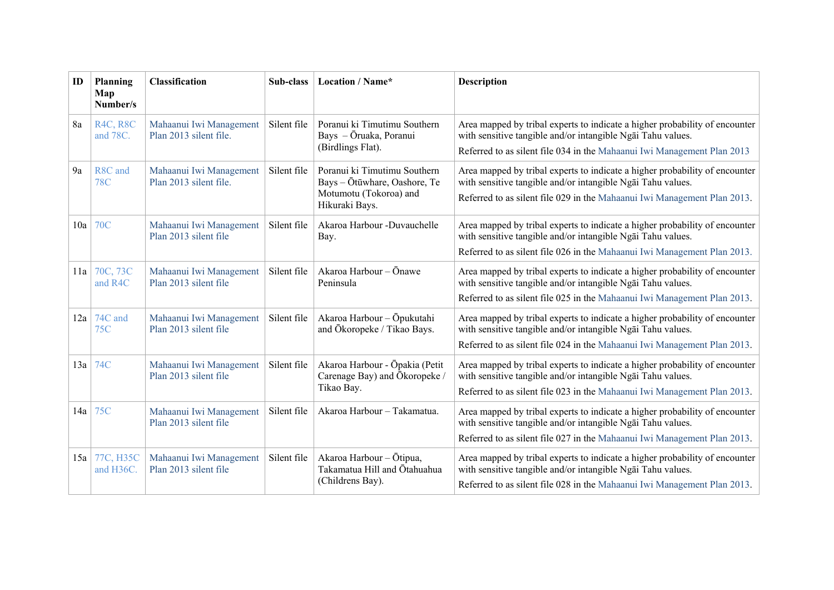| ID  | Planning<br>Map<br>Number/s | <b>Classification</b>                             | Sub-class   | Location / Name*                                                                                                                                                                                                                                              | <b>Description</b>                                                                                                                                                                                                     |
|-----|-----------------------------|---------------------------------------------------|-------------|---------------------------------------------------------------------------------------------------------------------------------------------------------------------------------------------------------------------------------------------------------------|------------------------------------------------------------------------------------------------------------------------------------------------------------------------------------------------------------------------|
| 8a  | <b>R4C, R8C</b><br>and 78C. | Mahaanui Iwi Management<br>Plan 2013 silent file. | Silent file | Poranui ki Timutimu Southern<br>Bays - Ōruaka, Poranui<br>(Birdlings Flat).                                                                                                                                                                                   | Area mapped by tribal experts to indicate a higher probability of encounter<br>with sensitive tangible and/or intangible Ngai Tahu values.<br>Referred to as silent file 034 in the Mahaanui Iwi Management Plan 2013  |
| 9a  | R8C and<br><b>78C</b>       | Mahaanui Iwi Management<br>Plan 2013 silent file. | Silent file | Poranui ki Timutimu Southern<br>Bays - Ōtūwhare, Oashore, Te<br>Motumotu (Tokoroa) and<br>Hikuraki Bays.                                                                                                                                                      | Area mapped by tribal experts to indicate a higher probability of encounter<br>with sensitive tangible and/or intangible Ngai Tahu values.<br>Referred to as silent file 029 in the Mahaanui Iwi Management Plan 2013. |
| 10a | <b>70C</b>                  | Mahaanui Iwi Management<br>Plan 2013 silent file  | Silent file | Akaroa Harbour -Duvauchelle<br>Bay.                                                                                                                                                                                                                           | Area mapped by tribal experts to indicate a higher probability of encounter<br>with sensitive tangible and/or intangible Ngai Tahu values.<br>Referred to as silent file 026 in the Mahaanui Iwi Management Plan 2013. |
|     | $11a$ 70C, 73C<br>and R4C   | Mahaanui Iwi Management<br>Plan 2013 silent file  | Silent file | Akaroa Harbour - Ōnawe<br>Area mapped by tribal experts to indicate a higher probability of encounter<br>with sensitive tangible and/or intangible Ngai Tahu values.<br>Peninsula<br>Referred to as silent file 025 in the Mahaanui Iwi Management Plan 2013. |                                                                                                                                                                                                                        |
| 12a | 74C and<br>75C              | Mahaanui Iwi Management<br>Plan 2013 silent file  | Silent file | Akaroa Harbour - Ōpukutahi<br>and Ökoropeke / Tikao Bays.                                                                                                                                                                                                     | Area mapped by tribal experts to indicate a higher probability of encounter<br>with sensitive tangible and/or intangible Ngai Tahu values.<br>Referred to as silent file 024 in the Mahaanui Iwi Management Plan 2013. |
| 13a | 74C                         | Mahaanui Iwi Management<br>Plan 2013 silent file  | Silent file | Akaroa Harbour - Ōpakia (Petit<br>Carenage Bay) and Ōkoropeke /<br>Tikao Bay.                                                                                                                                                                                 | Area mapped by tribal experts to indicate a higher probability of encounter<br>with sensitive tangible and/or intangible Ngai Tahu values.<br>Referred to as silent file 023 in the Mahaanui Iwi Management Plan 2013. |
| 14a | 75C                         | Mahaanui Iwi Management<br>Plan 2013 silent file  | Silent file | Akaroa Harbour - Takamatua.                                                                                                                                                                                                                                   | Area mapped by tribal experts to indicate a higher probability of encounter<br>with sensitive tangible and/or intangible Ngai Tahu values.<br>Referred to as silent file 027 in the Mahaanui Iwi Management Plan 2013. |
| 15a | 77C, H35C<br>and H36C.      | Mahaanui Iwi Management<br>Plan 2013 silent file  | Silent file | Akaroa Harbour - Ōtipua,<br>Takamatua Hill and Ōtahuahua<br>(Childrens Bay).                                                                                                                                                                                  | Area mapped by tribal experts to indicate a higher probability of encounter<br>with sensitive tangible and/or intangible Ngai Tahu values.<br>Referred to as silent file 028 in the Mahaanui Iwi Management Plan 2013. |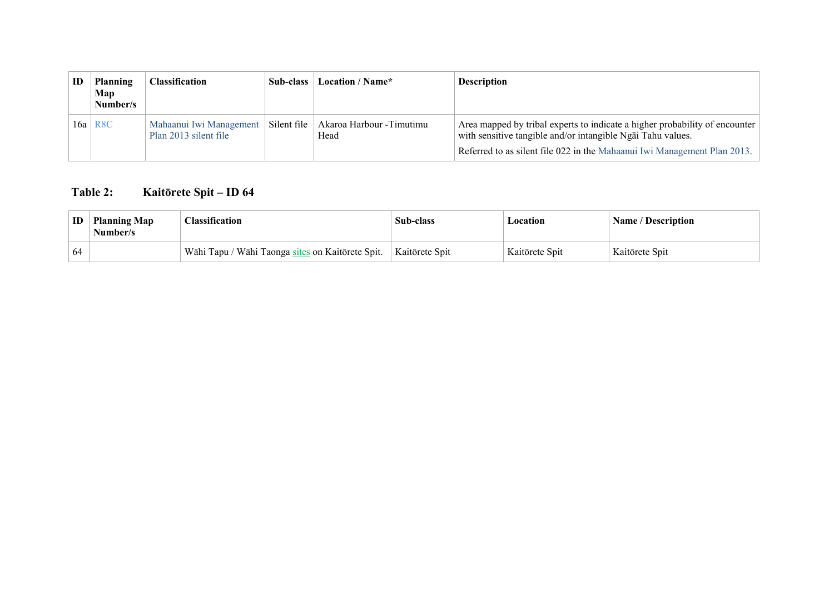| ID | <b>Planning</b><br>Map<br>Number/s | <b>Classification</b>                                                  | Sub-class | Location / Name*          | <b>Description</b>                                                                                                                                                                                                     |
|----|------------------------------------|------------------------------------------------------------------------|-----------|---------------------------|------------------------------------------------------------------------------------------------------------------------------------------------------------------------------------------------------------------------|
|    | $16a$ R8C                          | Mahaanui Iwi Management   Silent file<br>Plan 2013 silent file<br>Head |           | Akaroa Harbour - Timutimu | Area mapped by tribal experts to indicate a higher probability of encounter<br>with sensitive tangible and/or intangible Ngai Tahu values.<br>Referred to as silent file 022 in the Mahaanui Iwi Management Plan 2013. |

## **Table 2: Kaitōrete Spit – ID 64**

| ID  | <b>Planning Map</b><br>Number/s | <b>Classification</b>                            | <b>Sub-class</b> | Location       | <b>Name / Description</b> |
|-----|---------------------------------|--------------------------------------------------|------------------|----------------|---------------------------|
| -64 |                                 | Wāhi Tapu / Wāhi Taonga sites on Kaitōrete Spit. | Kaitōrete Spit   | Kaitōrete Spit | Kaitōrete Spit            |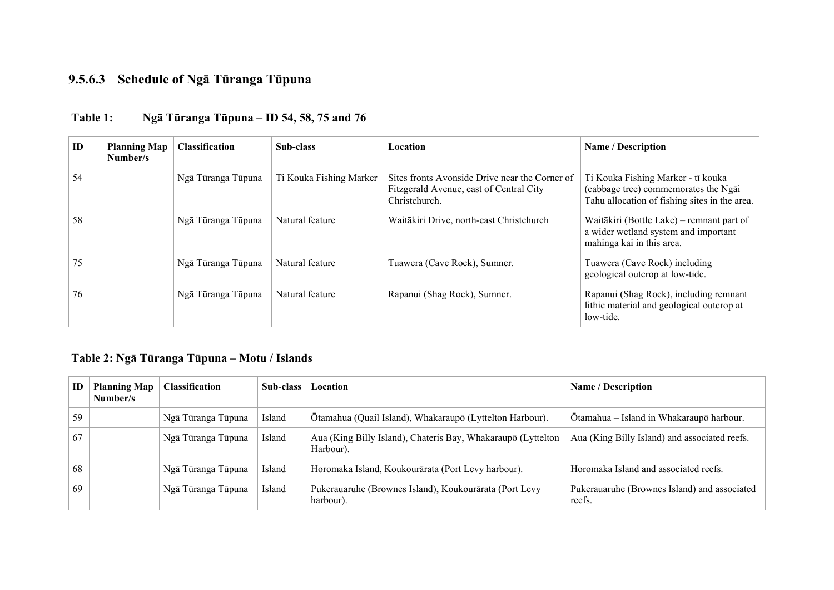## **9.5.6.3 Schedule of Ngā Tūranga Tūpuna**

| ID | <b>Planning Map</b><br>Number/s | <b>Classification</b> | Sub-class               | Location                                                                                                   | <b>Name / Description</b>                                                                                                   |
|----|---------------------------------|-----------------------|-------------------------|------------------------------------------------------------------------------------------------------------|-----------------------------------------------------------------------------------------------------------------------------|
| 54 |                                 | Ngā Tūranga Tūpuna    | Ti Kouka Fishing Marker | Sites fronts Avonside Drive near the Corner of<br>Fitzgerald Avenue, east of Central City<br>Christchurch. | Ti Kouka Fishing Marker - tī kouka<br>(cabbage tree) commemorates the Ngai<br>Tahu allocation of fishing sites in the area. |
| 58 |                                 | Ngā Tūranga Tūpuna    | Natural feature         | Waitākiri Drive, north-east Christchurch                                                                   | Waitākiri (Bottle Lake) – remnant part of<br>a wider wetland system and important<br>mahinga kai in this area.              |
| 75 |                                 | Ngā Tūranga Tūpuna    | Natural feature         | Tuawera (Cave Rock), Sumner.                                                                               | Tuawera (Cave Rock) including<br>geological outcrop at low-tide.                                                            |
| 76 |                                 | Ngā Tūranga Tūpuna    | Natural feature         | Rapanui (Shag Rock), Sumner.                                                                               | Rapanui (Shag Rock), including remnant<br>lithic material and geological outcrop at<br>low-tide.                            |

## **Table 1: Ngā Tūranga Tūpuna – ID 54, 58, 75 and 76**

## **Table 2: Ngā Tūranga Tūpuna – Motu / Islands**

| ID | <b>Planning Map</b><br>Number/s | <b>Classification</b> | Sub-class | Location                                                                  | <b>Name / Description</b>                              |
|----|---------------------------------|-----------------------|-----------|---------------------------------------------------------------------------|--------------------------------------------------------|
| 59 |                                 | Ngā Tūranga Tūpuna    | Island    | Ōtamahua (Quail Island), Whakaraupō (Lyttelton Harbour).                  | Ōtamahua – Island in Whakaraupō harbour.               |
| 67 |                                 | Ngā Tūranga Tūpuna    | Island    | Aua (King Billy Island), Chateris Bay, Whakaraupō (Lyttelton<br>Harbour). | Aua (King Billy Island) and associated reefs.          |
| 68 |                                 | Ngā Tūranga Tūpuna    | Island    | Horomaka Island, Koukourārata (Port Levy harbour).                        | Horomaka Island and associated reefs.                  |
| 69 |                                 | Ngā Tūranga Tūpuna    | Island    | Pukerauaruhe (Brownes Island), Koukourārata (Port Levy<br>harbour).       | Pukerauaruhe (Brownes Island) and associated<br>reefs. |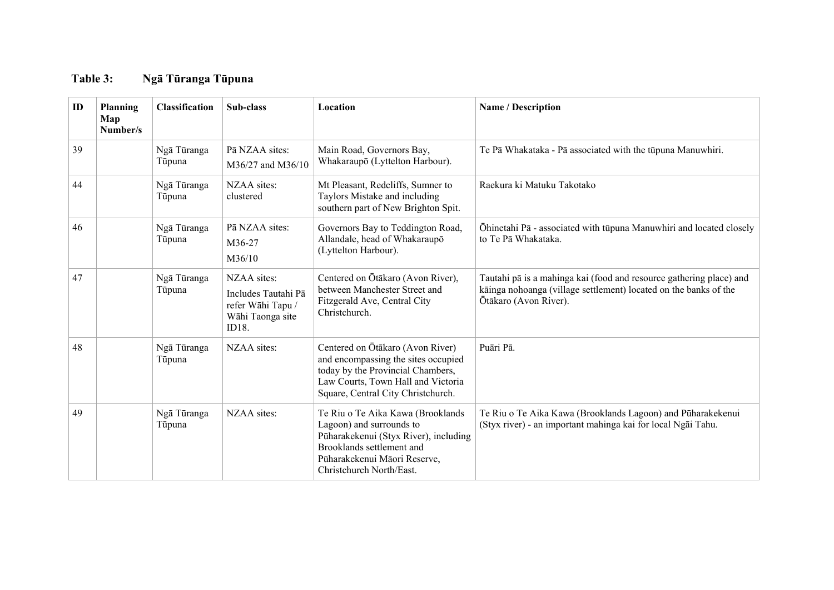## **Table 3: Ngā Tūranga Tūpuna**

| ID | Planning<br>Map<br>Number/s | <b>Classification</b> | Sub-class                                                                            | <b>Location</b>                                                                                                                                                                                 | Name / Description                                                                                                                                               |
|----|-----------------------------|-----------------------|--------------------------------------------------------------------------------------|-------------------------------------------------------------------------------------------------------------------------------------------------------------------------------------------------|------------------------------------------------------------------------------------------------------------------------------------------------------------------|
| 39 |                             | Ngā Tūranga<br>Tūpuna | Pā NZAA sites:<br>M36/27 and M36/10                                                  | Main Road, Governors Bay,<br>Whakaraupō (Lyttelton Harbour).                                                                                                                                    | Te Pā Whakataka - Pā associated with the tūpuna Manuwhiri.                                                                                                       |
| 44 |                             | Ngā Tūranga<br>Tūpuna | NZAA sites:<br>clustered                                                             | Mt Pleasant, Redcliffs, Sumner to<br>Taylors Mistake and including<br>southern part of New Brighton Spit.                                                                                       | Raekura ki Matuku Takotako                                                                                                                                       |
| 46 |                             | Ngā Tūranga<br>Tūpuna | Pā NZAA sites:<br>M <sub>36</sub> -27<br>M36/10                                      | Governors Bay to Teddington Road,<br>Allandale, head of Whakaraupō<br>(Lyttelton Harbour).                                                                                                      | Ōhinetahi Pā - associated with tūpuna Manuwhiri and located closely<br>to Te Pā Whakataka.                                                                       |
| 47 |                             | Ngā Tūranga<br>Tūpuna | NZAA sites:<br>Includes Tautahi Pā<br>refer Wāhi Tapu /<br>Wāhi Taonga site<br>ID18. | Centered on Ōtākaro (Avon River),<br>between Manchester Street and<br>Fitzgerald Ave, Central City<br>Christchurch.                                                                             | Tautahi pā is a mahinga kai (food and resource gathering place) and<br>kāinga nohoanga (village settlement) located on the banks of the<br>Ōtākaro (Avon River). |
| 48 |                             | Ngā Tūranga<br>Tūpuna | NZAA sites:                                                                          | Centered on Ōtākaro (Avon River)<br>and encompassing the sites occupied<br>today by the Provincial Chambers,<br>Law Courts, Town Hall and Victoria<br>Square, Central City Christchurch.        | Puāri Pā.                                                                                                                                                        |
| 49 |                             | Ngā Tūranga<br>Tūpuna | NZAA sites:                                                                          | Te Riu o Te Aika Kawa (Brooklands<br>Lagoon) and surrounds to<br>Pūharakekenui (Styx River), including<br>Brooklands settlement and<br>Püharakekenui Māori Reserve,<br>Christchurch North/East. | Te Riu o Te Aika Kawa (Brooklands Lagoon) and Pūharakekenui<br>(Styx river) - an important mahinga kai for local Ngāi Tahu.                                      |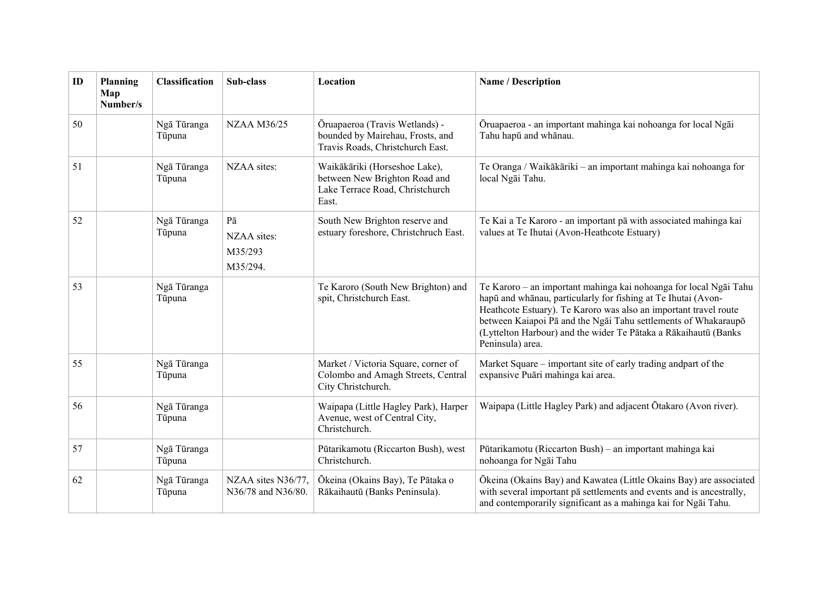| ID | Planning<br>Map<br>Number/s | <b>Classification</b> | Sub-class                                        | Location                                                                                                   | Name / Description                                                                                                                                                                                                                                                                                                                                              |  |
|----|-----------------------------|-----------------------|--------------------------------------------------|------------------------------------------------------------------------------------------------------------|-----------------------------------------------------------------------------------------------------------------------------------------------------------------------------------------------------------------------------------------------------------------------------------------------------------------------------------------------------------------|--|
| 50 |                             | Ngā Tūranga<br>Tūpuna | <b>NZAA M36/25</b>                               | Ōruapaeroa (Travis Wetlands) -<br>bounded by Mairehau, Frosts, and<br>Travis Roads, Christchurch East.     | Ōruapaeroa - an important mahinga kai nohoanga for local Ngāi<br>Tahu hapū and whānau.                                                                                                                                                                                                                                                                          |  |
| 51 |                             | Ngā Tūranga<br>Tūpuna | NZAA sites:                                      | Waikākāriki (Horseshoe Lake),<br>between New Brighton Road and<br>Lake Terrace Road, Christchurch<br>East. | Te Oranga / Waikākāriki - an important mahinga kai nohoanga for<br>local Ngāi Tahu.                                                                                                                                                                                                                                                                             |  |
| 52 |                             | Ngā Tūranga<br>Tūpuna | $P\bar{a}$<br>NZAA sites:<br>M35/293<br>M35/294. | South New Brighton reserve and<br>estuary foreshore, Christchruch East.                                    | Te Kai a Te Karoro - an important pā with associated mahinga kai<br>values at Te Ihutai (Avon-Heathcote Estuary)                                                                                                                                                                                                                                                |  |
| 53 |                             | Ngā Tūranga<br>Tūpuna |                                                  | Te Karoro (South New Brighton) and<br>spit, Christchurch East.                                             | Te Karoro – an important mahinga kai nohoanga for local Ngāi Tahu<br>hapū and whānau, particularly for fishing at Te Ihutai (Avon-<br>Heathcote Estuary). Te Karoro was also an important travel route<br>between Kaiapoi Pā and the Ngāi Tahu settlements of Whakaraupō<br>(Lyttelton Harbour) and the wider Te Pātaka a Rākaihautū (Banks<br>Peninsula) area. |  |
| 55 |                             | Ngā Tūranga<br>Tūpuna |                                                  | Market / Victoria Square, corner of<br>Colombo and Amagh Streets, Central<br>City Christchurch.            | Market Square – important site of early trading and part of the<br>expansive Puāri mahinga kai area.                                                                                                                                                                                                                                                            |  |
| 56 |                             | Ngā Tūranga<br>Tūpuna |                                                  | Waipapa (Little Hagley Park), Harper<br>Avenue, west of Central City,<br>Christchurch.                     | Waipapa (Little Hagley Park) and adjacent Ōtakaro (Avon river).                                                                                                                                                                                                                                                                                                 |  |
| 57 |                             | Ngā Tūranga<br>Tūpuna |                                                  | Pūtarikamotu (Riccarton Bush), west<br>Christchurch.                                                       | Pūtarikamotu (Riccarton Bush) – an important mahinga kai<br>nohoanga for Ngāi Tahu                                                                                                                                                                                                                                                                              |  |
| 62 |                             | Ngā Tūranga<br>Tūpuna | NZAA sites N36/77,<br>N36/78 and N36/80.         | Ōkeina (Okains Bay), Te Pātaka o<br>Rākaihautū (Banks Peninsula).                                          | Ōkeina (Okains Bay) and Kawatea (Little Okains Bay) are associated<br>with several important pā settlements and events and is ancestrally,<br>and contemporarily significant as a mahinga kai for Ngai Tahu.                                                                                                                                                    |  |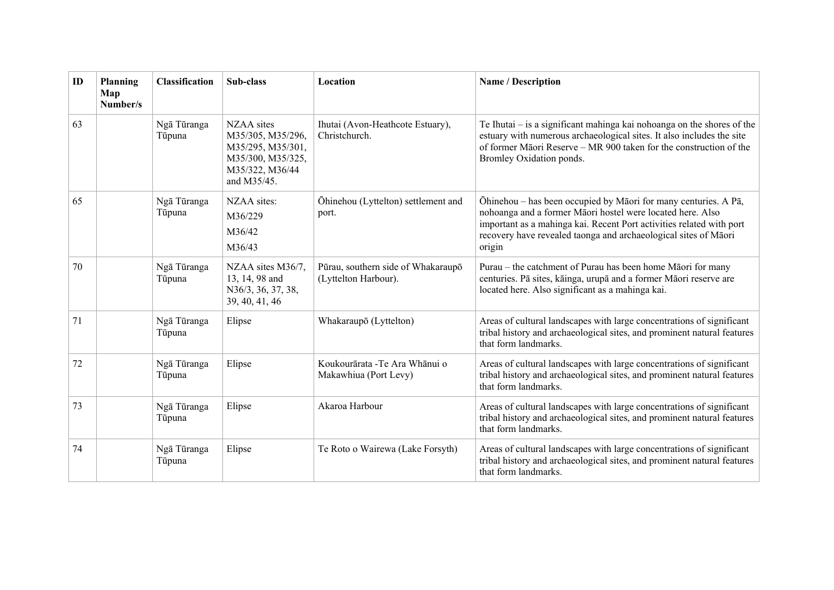| ID | Planning<br>Map<br>Number/s | <b>Classification</b> | Sub-class                                                                                                   | Location                                                   | Name / Description                                                                                                                                                                                                                                                                 |
|----|-----------------------------|-----------------------|-------------------------------------------------------------------------------------------------------------|------------------------------------------------------------|------------------------------------------------------------------------------------------------------------------------------------------------------------------------------------------------------------------------------------------------------------------------------------|
| 63 |                             | Ngā Tūranga<br>Tūpuna | NZAA sites<br>M35/305, M35/296,<br>M35/295, M35/301,<br>M35/300, M35/325,<br>M35/322, M36/44<br>and M35/45. | Ihutai (Avon-Heathcote Estuary),<br>Christchurch.          | Te Ihutai $-$ is a significant mahinga kai nohoanga on the shores of the<br>estuary with numerous archaeological sites. It also includes the site<br>of former Māori Reserve – MR 900 taken for the construction of the<br>Bromley Oxidation ponds.                                |
| 65 |                             | Ngā Tūranga<br>Tūpuna | NZAA sites:<br>M36/229<br>M36/42<br>M36/43                                                                  | Öhinehou (Lyttelton) settlement and<br>port.               | Ōhinehou - has been occupied by Māori for many centuries. A Pā,<br>nohoanga and a former Māori hostel were located here. Also<br>important as a mahinga kai. Recent Port activities related with port<br>recovery have revealed taonga and archaeological sites of Māori<br>origin |
| 70 |                             | Ngā Tūranga<br>Tūpuna | NZAA sites M36/7,<br>13, 14, 98 and<br>N36/3, 36, 37, 38,<br>39, 40, 41, 46                                 | Pūrau, southern side of Whakaraupō<br>(Lyttelton Harbour). | Purau – the catchment of Purau has been home Māori for many<br>centuries. Pā sites, kāinga, urupā and a former Māori reserve are<br>located here. Also significant as a mahinga kai.                                                                                               |
| 71 |                             | Ngā Tūranga<br>Tūpuna | Elipse                                                                                                      | Whakaraupō (Lyttelton)                                     | Areas of cultural landscapes with large concentrations of significant<br>tribal history and archaeological sites, and prominent natural features<br>that form landmarks.                                                                                                           |
| 72 |                             | Ngā Tūranga<br>Tūpuna | Elipse                                                                                                      | Koukourārata - Te Ara Whānui o<br>Makawhiua (Port Levy)    | Areas of cultural landscapes with large concentrations of significant<br>tribal history and archaeological sites, and prominent natural features<br>that form landmarks.                                                                                                           |
| 73 |                             | Ngā Tūranga<br>Tūpuna | Elipse                                                                                                      | Akaroa Harbour                                             | Areas of cultural landscapes with large concentrations of significant<br>tribal history and archaeological sites, and prominent natural features<br>that form landmarks.                                                                                                           |
| 74 |                             | Ngā Tūranga<br>Tūpuna | Elipse                                                                                                      | Te Roto o Wairewa (Lake Forsyth)                           | Areas of cultural landscapes with large concentrations of significant<br>tribal history and archaeological sites, and prominent natural features<br>that form landmarks.                                                                                                           |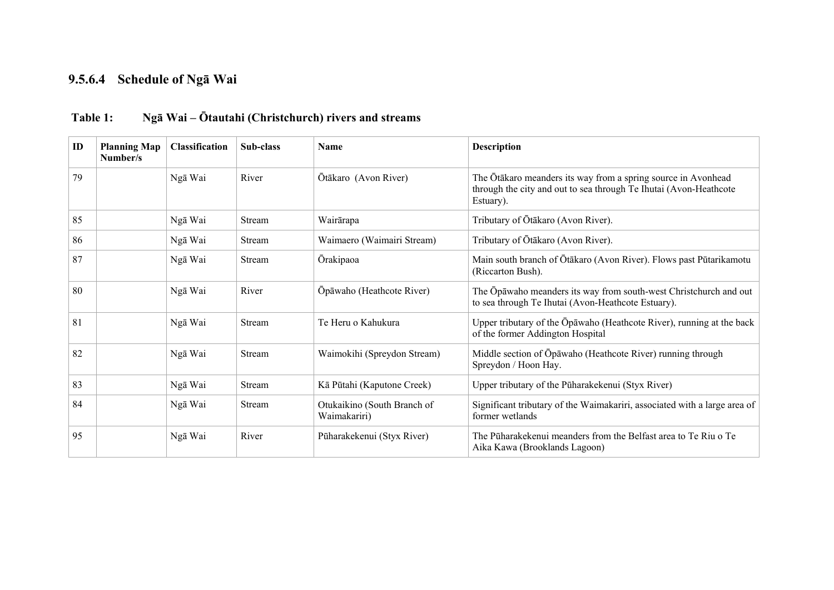#### **9.5.6.4 Schedule of Ngā Wai**

| ID | <b>Planning Map</b><br>Number/s | <b>Classification</b> | Sub-class | <b>Name</b>                                 | <b>Description</b>                                                                                                                              |  |
|----|---------------------------------|-----------------------|-----------|---------------------------------------------|-------------------------------------------------------------------------------------------------------------------------------------------------|--|
| 79 |                                 | Ngā Wai               | River     | Ōtākaro (Avon River)                        | The Ōtākaro meanders its way from a spring source in Avonhead<br>through the city and out to sea through Te Ihutai (Avon-Heathcote<br>Estuary). |  |
| 85 |                                 | Ngā Wai               | Stream    | Wairārapa                                   | Tributary of Ōtākaro (Avon River).                                                                                                              |  |
| 86 |                                 | Ngā Wai               | Stream    | Waimaero (Waimairi Stream)                  | Tributary of Ōtākaro (Avon River).                                                                                                              |  |
| 87 |                                 | Ngā Wai               | Stream    | <b>Orakipaoa</b>                            | Main south branch of Ōtākaro (Avon River). Flows past Pūtarikamotu<br>(Riccarton Bush).                                                         |  |
| 80 |                                 | Ngā Wai               | River     | Ōpāwaho (Heathcote River)                   | The Opawaho meanders its way from south-west Christchurch and out<br>to sea through Te Ihutai (Avon-Heathcote Estuary).                         |  |
| 81 |                                 | Ngā Wai               | Stream    | Te Heru o Kahukura                          | Upper tributary of the Opawaho (Heathcote River), running at the back<br>of the former Addington Hospital                                       |  |
| 82 |                                 | Ngā Wai               | Stream    | Waimokihi (Spreydon Stream)                 | Middle section of Ōpāwaho (Heathcote River) running through<br>Spreydon / Hoon Hay.                                                             |  |
| 83 |                                 | Ngā Wai               | Stream    | Kā Pūtahi (Kaputone Creek)                  | Upper tributary of the Pūharakekenui (Styx River)                                                                                               |  |
| 84 |                                 | Ngā Wai               | Stream    | Otukaikino (South Branch of<br>Waimakariri) | Significant tributary of the Waimakariri, associated with a large area of<br>former wetlands                                                    |  |
| 95 |                                 | Ngā Wai               | River     | Püharakekenui (Styx River)                  | The Pūharakekenui meanders from the Belfast area to Te Riu o Te<br>Aika Kawa (Brooklands Lagoon)                                                |  |

## **Table 1: Ngā Wai – Ōtautahi (Christchurch) rivers and streams**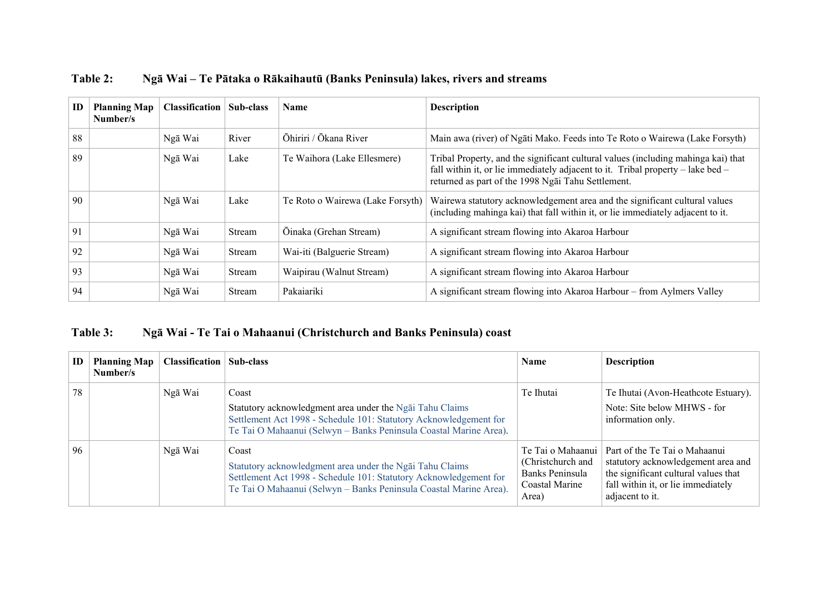| ID | <b>Planning Map</b><br>Number/s | <b>Classification</b> | Sub-class | Name                             | <b>Description</b>                                                                                                                                                                                                             |
|----|---------------------------------|-----------------------|-----------|----------------------------------|--------------------------------------------------------------------------------------------------------------------------------------------------------------------------------------------------------------------------------|
| 88 |                                 | Ngā Wai               | River     | Ōhiriri / Ōkana River            | Main awa (river) of Ngati Mako. Feeds into Te Roto o Wairewa (Lake Forsyth)                                                                                                                                                    |
| 89 |                                 | Ngā Wai               | Lake      | Te Waihora (Lake Ellesmere)      | Tribal Property, and the significant cultural values (including mahinga kai) that<br>fall within it, or lie immediately adjacent to it. Tribal property $-$ lake bed $-$<br>returned as part of the 1998 Ngai Tahu Settlement. |
| 90 |                                 | Ngā Wai               | Lake      | Te Roto o Wairewa (Lake Forsyth) | Wairewa statutory acknowledgement area and the significant cultural values<br>(including mahinga kai) that fall within it, or lie immediately adjacent to it.                                                                  |
| 91 |                                 | Ngā Wai               | Stream    | Ōinaka (Grehan Stream)           | A significant stream flowing into Akaroa Harbour                                                                                                                                                                               |
| 92 |                                 | Ngā Wai               | Stream    | Wai-iti (Balguerie Stream)       | A significant stream flowing into Akaroa Harbour                                                                                                                                                                               |
| 93 |                                 | Ngā Wai               | Stream    | Waipirau (Walnut Stream)         | A significant stream flowing into Akaroa Harbour                                                                                                                                                                               |
| 94 |                                 | Ngā Wai               | Stream    | Pakaiariki                       | A significant stream flowing into Akaroa Harbour – from Aylmers Valley                                                                                                                                                         |

**Table 2: Ngā Wai – Te Pātaka o Rākaihautū (Banks Peninsula) lakes, rivers and streams** 

## **Table 3: Ngā Wai - Te Tai o Mahaanui (Christchurch and Banks Peninsula) coast**

| ID | <b>Planning Map</b><br>Number/s | <b>Classification   Sub-class</b> |                                                                                                                                                                                                             | <b>Name</b>                                                                            | <b>Description</b>                                                                                                                                                   |
|----|---------------------------------|-----------------------------------|-------------------------------------------------------------------------------------------------------------------------------------------------------------------------------------------------------------|----------------------------------------------------------------------------------------|----------------------------------------------------------------------------------------------------------------------------------------------------------------------|
| 78 |                                 | Ngā Wai                           | Coast<br>Statutory acknowledgment area under the Ngai Tahu Claims<br>Settlement Act 1998 - Schedule 101: Statutory Acknowledgement for<br>Te Tai O Mahaanui (Selwyn – Banks Peninsula Coastal Marine Area). | Te Ihutai                                                                              | Te Ihutai (Avon-Heathcote Estuary).<br>Note: Site below MHWS - for<br>information only.                                                                              |
| 96 |                                 | Ngā Wai                           | Coast<br>Statutory acknowledgment area under the Ngai Tahu Claims<br>Settlement Act 1998 - Schedule 101: Statutory Acknowledgement for<br>Te Tai O Mahaanui (Selwyn - Banks Peninsula Coastal Marine Area). | Te Tai o Mahaanui  <br>(Christchurch and<br>Banks Peninsula<br>Coastal Marine<br>Area) | Part of the Te Tai o Mahaanui<br>statutory acknowledgement area and<br>the significant cultural values that<br>fall within it, or lie immediately<br>adjacent to it. |